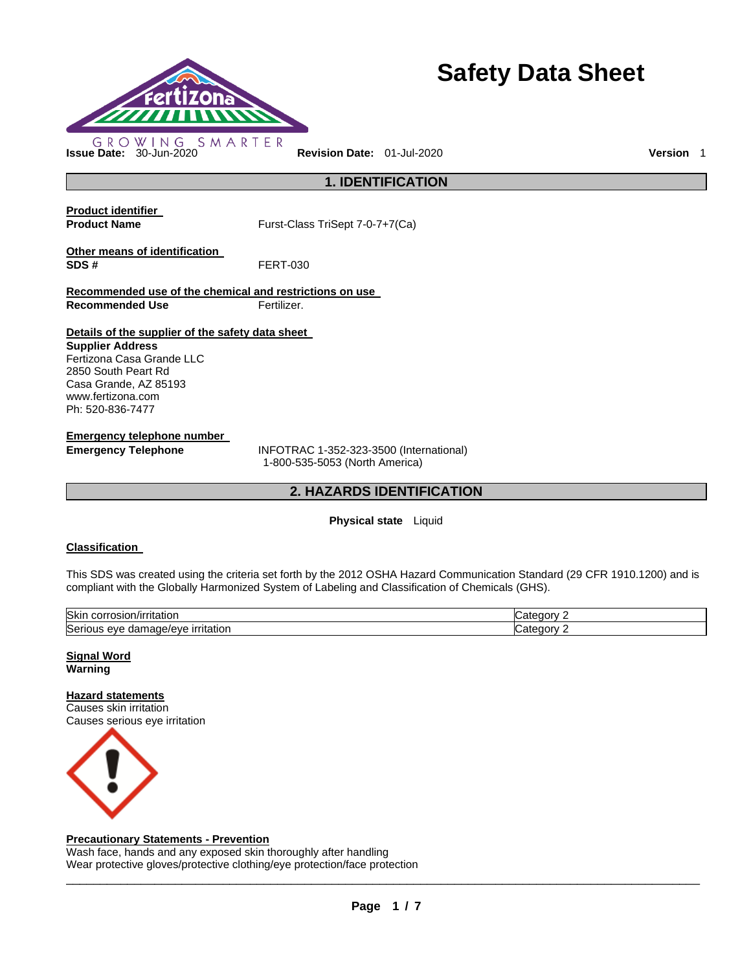

# **Safety Data Sheet**

**1. IDENTIFICATION** 

**Product identifier** 

**Product Name Furst-Class TriSept 7-0-7+7(Ca)** 

**Other means of identification SDS #** FERT-030

**Recommended use of the chemical and restrictions on use Recommended Use Fertilizer.** 

### **Details of the supplier of the safety data sheet**

**Supplier Address** Fertizona Casa Grande LLC 2850 South Peart Rd Casa Grande, AZ 85193 www.fertizona.com Ph: 520-836-7477

**Emergency telephone number** 

**Emergency Telephone** INFOTRAC 1-352-323-3500 (International) 1-800-535-5053 (North America)

### **2. HAZARDS IDENTIFICATION**

### **Physical state** Liquid

### **Classification**

This SDS was created using the criteria set forth by the 2012 OSHA Hazard Communication Standard (29 CFR 1910.1200) and is compliant with the Globally Harmonized System of Labeling and Classification of Chemicals (GHS).

| Skir<br>A<br>)/irritatior<br>JOLL,<br>'OSIOI                                | z<br>----<br>- דבי |
|-----------------------------------------------------------------------------|--------------------|
| $\sim$<br><b>irritation</b><br>Serio<br>eve<br>eveve in<br>паг<br>на<br>. . | z                  |

**Signal Word Warning** 

**Hazard statements** Causes skin irritation

Causes serious eye irritation



### **Precautionary Statements - Prevention**

Wash face, hands and any exposed skin thoroughly after handling Wear protective gloves/protective clothing/eye protection/face protection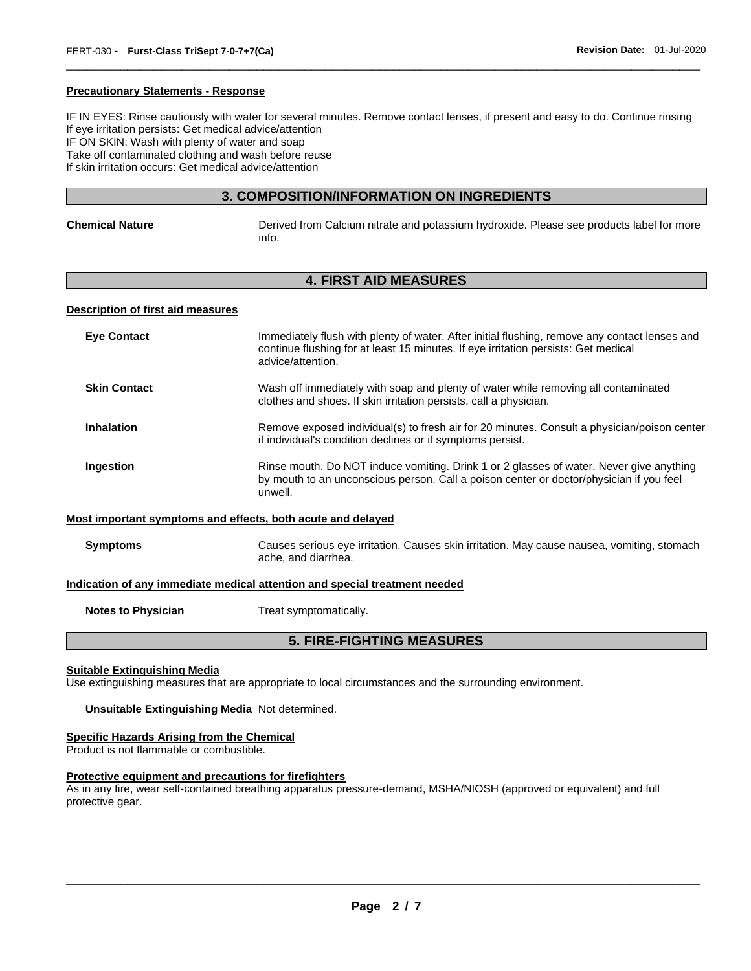### **Precautionary Statements - Response**

IF IN EYES: Rinse cautiously with water for several minutes. Remove contact lenses, if present and easy to do. Continue rinsing If eye irritation persists: Get medical advice/attention IF ON SKIN: Wash with plenty of water and soap Take off contaminated clothing and wash before reuse If skin irritation occurs: Get medical advice/attention

\_\_\_\_\_\_\_\_\_\_\_\_\_\_\_\_\_\_\_\_\_\_\_\_\_\_\_\_\_\_\_\_\_\_\_\_\_\_\_\_\_\_\_\_\_\_\_\_\_\_\_\_\_\_\_\_\_\_\_\_\_\_\_\_\_\_\_\_\_\_\_\_\_\_\_\_\_\_\_\_\_\_\_\_\_\_\_\_\_\_\_\_\_

### **3. COMPOSITION/INFORMATION ON INGREDIENTS**

| <b>Chemical Nature</b> |  |
|------------------------|--|

**Chemical Nature** Derived from Calcium nitrate and potassium hydroxide. Please see products label for more info.

### **4. FIRST AID MEASURES**

### **Description of first aid measures**

| <b>Eye Contact</b>                                                         | Immediately flush with plenty of water. After initial flushing, remove any contact lenses and<br>continue flushing for at least 15 minutes. If eye irritation persists: Get medical<br>advice/attention. |  |
|----------------------------------------------------------------------------|----------------------------------------------------------------------------------------------------------------------------------------------------------------------------------------------------------|--|
| <b>Skin Contact</b>                                                        | Wash off immediately with soap and plenty of water while removing all contaminated<br>clothes and shoes. If skin irritation persists, call a physician.                                                  |  |
| <b>Inhalation</b>                                                          | Remove exposed individual(s) to fresh air for 20 minutes. Consult a physician/poison center<br>if individual's condition declines or if symptoms persist.                                                |  |
| Ingestion                                                                  | Rinse mouth. Do NOT induce vomiting. Drink 1 or 2 glasses of water. Never give anything<br>by mouth to an unconscious person. Call a poison center or doctor/physician if you feel<br>unwell.            |  |
| Most important symptoms and effects, both acute and delayed                |                                                                                                                                                                                                          |  |
| <b>Symptoms</b>                                                            | Causes serious eye irritation. Causes skin irritation. May cause nausea, vomiting, stomach<br>ache, and diarrhea.                                                                                        |  |
| Indication of any immediate medical attention and special treatment needed |                                                                                                                                                                                                          |  |
|                                                                            |                                                                                                                                                                                                          |  |

**Notes to Physician Treat symptomatically.** 

### **5. FIRE-FIGHTING MEASURES**

### **Suitable Extinguishing Media**

Use extinguishing measures that are appropriate to local circumstances and the surrounding environment.

### **Unsuitable Extinguishing Media** Not determined.

### **Specific Hazards Arising from the Chemical**

Product is not flammable or combustible.

### **Protective equipment and precautions for firefighters**

As in any fire, wear self-contained breathing apparatus pressure-demand, MSHA/NIOSH (approved or equivalent) and full protective gear.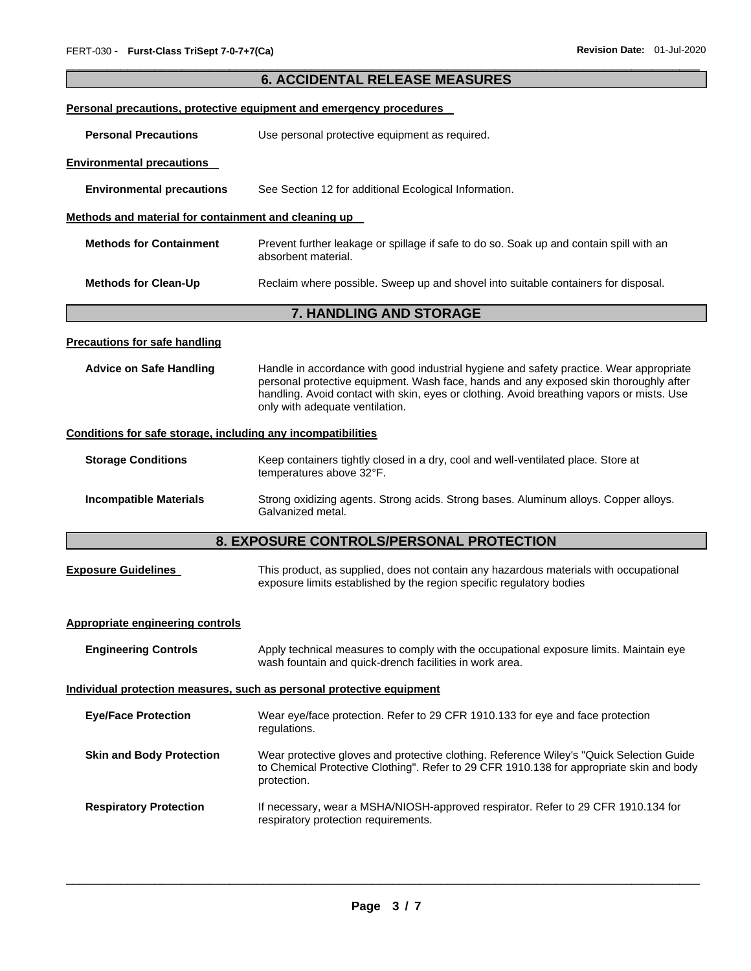|                                                                       | <b>6. ACCIDENTAL RELEASE MEASURES</b>                                                                                                                                                                                                                                                                            |  |  |
|-----------------------------------------------------------------------|------------------------------------------------------------------------------------------------------------------------------------------------------------------------------------------------------------------------------------------------------------------------------------------------------------------|--|--|
|                                                                       | Personal precautions, protective equipment and emergency procedures                                                                                                                                                                                                                                              |  |  |
| <b>Personal Precautions</b>                                           | Use personal protective equipment as required.                                                                                                                                                                                                                                                                   |  |  |
| <b>Environmental precautions</b>                                      |                                                                                                                                                                                                                                                                                                                  |  |  |
| <b>Environmental precautions</b>                                      | See Section 12 for additional Ecological Information.                                                                                                                                                                                                                                                            |  |  |
| Methods and material for containment and cleaning up                  |                                                                                                                                                                                                                                                                                                                  |  |  |
| <b>Methods for Containment</b>                                        | Prevent further leakage or spillage if safe to do so. Soak up and contain spill with an<br>absorbent material.                                                                                                                                                                                                   |  |  |
| <b>Methods for Clean-Up</b>                                           | Reclaim where possible. Sweep up and shovel into suitable containers for disposal.                                                                                                                                                                                                                               |  |  |
|                                                                       | 7. HANDLING AND STORAGE                                                                                                                                                                                                                                                                                          |  |  |
| <b>Precautions for safe handling</b>                                  |                                                                                                                                                                                                                                                                                                                  |  |  |
| <b>Advice on Safe Handling</b>                                        | Handle in accordance with good industrial hygiene and safety practice. Wear appropriate<br>personal protective equipment. Wash face, hands and any exposed skin thoroughly after<br>handling. Avoid contact with skin, eyes or clothing. Avoid breathing vapors or mists. Use<br>only with adequate ventilation. |  |  |
| Conditions for safe storage, including any incompatibilities          |                                                                                                                                                                                                                                                                                                                  |  |  |
| <b>Storage Conditions</b>                                             | Keep containers tightly closed in a dry, cool and well-ventilated place. Store at<br>temperatures above 32°F.                                                                                                                                                                                                    |  |  |
| <b>Incompatible Materials</b>                                         | Strong oxidizing agents. Strong acids. Strong bases. Aluminum alloys. Copper alloys.<br>Galvanized metal.                                                                                                                                                                                                        |  |  |
|                                                                       | 8. EXPOSURE CONTROLS/PERSONAL PROTECTION                                                                                                                                                                                                                                                                         |  |  |
| <b>Exposure Guidelines</b>                                            | This product, as supplied, does not contain any hazardous materials with occupational<br>exposure limits established by the region specific regulatory bodies                                                                                                                                                    |  |  |
| <b>Appropriate engineering controls</b>                               |                                                                                                                                                                                                                                                                                                                  |  |  |
| <b>Engineering Controls</b>                                           | Apply technical measures to comply with the occupational exposure limits. Maintain eye<br>wash fountain and quick-drench facilities in work area.                                                                                                                                                                |  |  |
| Individual protection measures, such as personal protective equipment |                                                                                                                                                                                                                                                                                                                  |  |  |
| <b>Eye/Face Protection</b>                                            | Wear eye/face protection. Refer to 29 CFR 1910.133 for eye and face protection<br>regulations.                                                                                                                                                                                                                   |  |  |
| <b>Skin and Body Protection</b>                                       | Wear protective gloves and protective clothing. Reference Wiley's "Quick Selection Guide<br>to Chemical Protective Clothing". Refer to 29 CFR 1910.138 for appropriate skin and body<br>protection.                                                                                                              |  |  |
| <b>Respiratory Protection</b>                                         | If necessary, wear a MSHA/NIOSH-approved respirator. Refer to 29 CFR 1910.134 for<br>respiratory protection requirements.                                                                                                                                                                                        |  |  |

\_\_\_\_\_\_\_\_\_\_\_\_\_\_\_\_\_\_\_\_\_\_\_\_\_\_\_\_\_\_\_\_\_\_\_\_\_\_\_\_\_\_\_\_\_\_\_\_\_\_\_\_\_\_\_\_\_\_\_\_\_\_\_\_\_\_\_\_\_\_\_\_\_\_\_\_\_\_\_\_\_\_\_\_\_\_\_\_\_\_\_\_\_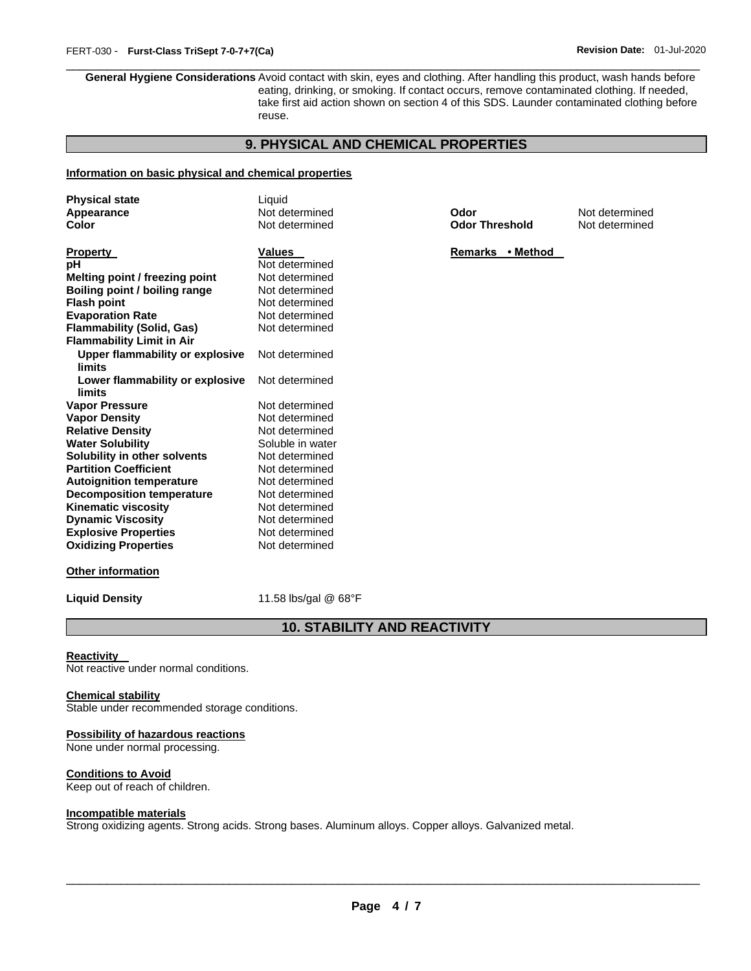\_\_\_\_\_\_\_\_\_\_\_\_\_\_\_\_\_\_\_\_\_\_\_\_\_\_\_\_\_\_\_\_\_\_\_\_\_\_\_\_\_\_\_\_\_\_\_\_\_\_\_\_\_\_\_\_\_\_\_\_\_\_\_\_\_\_\_\_\_\_\_\_\_\_\_\_\_\_\_\_\_\_\_\_\_\_\_\_\_\_\_\_\_ **General Hygiene Considerations** Avoid contact with skin, eyes and clothing. After handling this product, wash hands before eating, drinking, or smoking. If contact occurs, remove contaminated clothing. If needed, take first aid action shown on section 4 of this SDS. Launder contaminated clothing before reuse.

### **9. PHYSICAL AND CHEMICAL PROPERTIES**

### **Information on basic physical and chemical properties**

| <b>Physical state</b>                     | Liquid           |                       |                |
|-------------------------------------------|------------------|-----------------------|----------------|
| Appearance                                | Not determined   | Odor                  | Not determined |
| Color                                     | Not determined   | <b>Odor Threshold</b> | Not determined |
| <b>Property</b>                           | <b>Values</b>    | Remarks • Method      |                |
| рH                                        | Not determined   |                       |                |
| Melting point / freezing point            | Not determined   |                       |                |
| Boiling point / boiling range             | Not determined   |                       |                |
| <b>Flash point</b>                        | Not determined   |                       |                |
| <b>Evaporation Rate</b>                   | Not determined   |                       |                |
| Flammability (Solid, Gas)                 | Not determined   |                       |                |
| <b>Flammability Limit in Air</b>          |                  |                       |                |
| Upper flammability or explosive<br>limits | Not determined   |                       |                |
| Lower flammability or explosive           | Not determined   |                       |                |
| limits                                    |                  |                       |                |
| Vapor Pressure                            | Not determined   |                       |                |
| <b>Vapor Density</b>                      | Not determined   |                       |                |
| <b>Relative Density</b>                   | Not determined   |                       |                |
| <b>Water Solubility</b>                   | Soluble in water |                       |                |
| Solubility in other solvents              | Not determined   |                       |                |
| <b>Partition Coefficient</b>              | Not determined   |                       |                |
| <b>Autoignition temperature</b>           | Not determined   |                       |                |
| <b>Decomposition temperature</b>          | Not determined   |                       |                |
| <b>Kinematic viscosity</b>                | Not determined   |                       |                |
| <b>Dynamic Viscosity</b>                  | Not determined   |                       |                |
| <b>Explosive Properties</b>               | Not determined   |                       |                |
| <b>Oxidizing Properties</b>               | Not determined   |                       |                |
|                                           |                  |                       |                |

### **Other information**

**Liquid Density** 11.58 lbs/gal @ 68°F

## **10. STABILITY AND REACTIVITY**

#### **Reactivity**

Not reactive under normal conditions.

### **Chemical stability**

Stable under recommended storage conditions.

### **Possibility of hazardous reactions**

None under normal processing.

### **Conditions to Avoid**

Keep out of reach of children.

### **Incompatible materials**

Strong oxidizing agents. Strong acids. Strong bases. Aluminum alloys. Copper alloys. Galvanized metal.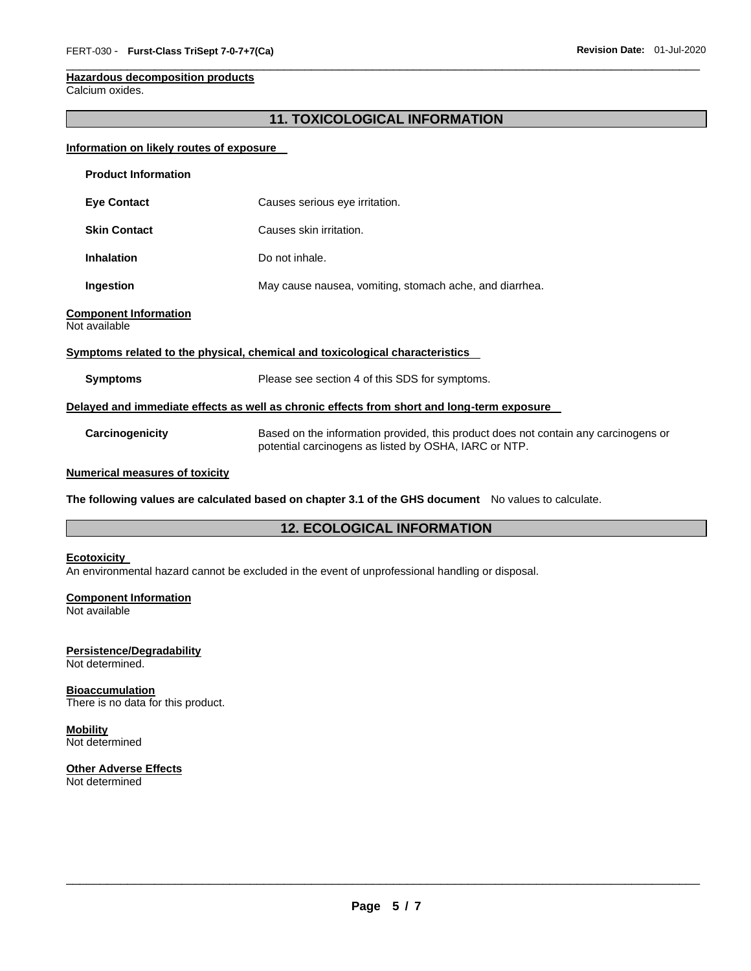### **Hazardous decomposition products**

Calcium oxides.

### **11. TOXICOLOGICAL INFORMATION**

\_\_\_\_\_\_\_\_\_\_\_\_\_\_\_\_\_\_\_\_\_\_\_\_\_\_\_\_\_\_\_\_\_\_\_\_\_\_\_\_\_\_\_\_\_\_\_\_\_\_\_\_\_\_\_\_\_\_\_\_\_\_\_\_\_\_\_\_\_\_\_\_\_\_\_\_\_\_\_\_\_\_\_\_\_\_\_\_\_\_\_\_\_

### **Information on likely routes of exposure**

| <b>Product Information</b>                    |                                                                                                                                              |  |  |
|-----------------------------------------------|----------------------------------------------------------------------------------------------------------------------------------------------|--|--|
| <b>Eye Contact</b>                            | Causes serious eye irritation.                                                                                                               |  |  |
| <b>Skin Contact</b>                           | Causes skin irritation.                                                                                                                      |  |  |
| <b>Inhalation</b>                             | Do not inhale.                                                                                                                               |  |  |
| Ingestion                                     | May cause nausea, vomiting, stomach ache, and diarrhea.                                                                                      |  |  |
| <b>Component Information</b><br>Not available |                                                                                                                                              |  |  |
|                                               | Symptoms related to the physical, chemical and toxicological characteristics                                                                 |  |  |
| <b>Symptoms</b>                               | Please see section 4 of this SDS for symptoms.                                                                                               |  |  |
|                                               | Delayed and immediate effects as well as chronic effects from short and long-term exposure                                                   |  |  |
| Carcinogenicity                               | Based on the information provided, this product does not contain any carcinogens or<br>potential carcinogens as listed by OSHA, IARC or NTP. |  |  |
| <b>Numerical measures of toxicity</b>         |                                                                                                                                              |  |  |

**The following values are calculated based on chapter 3.1 of the GHS document** No values to calculate.

### **12. ECOLOGICAL INFORMATION**

### **Ecotoxicity**

An environmental hazard cannot be excluded in the event of unprofessional handling or disposal.

### **Component Information**

Not available

### **Persistence/Degradability**

Not determined.

### **Bioaccumulation** There is no data for this product.

# **Mobility**

Not determined

# **Other Adverse Effects**

Not determined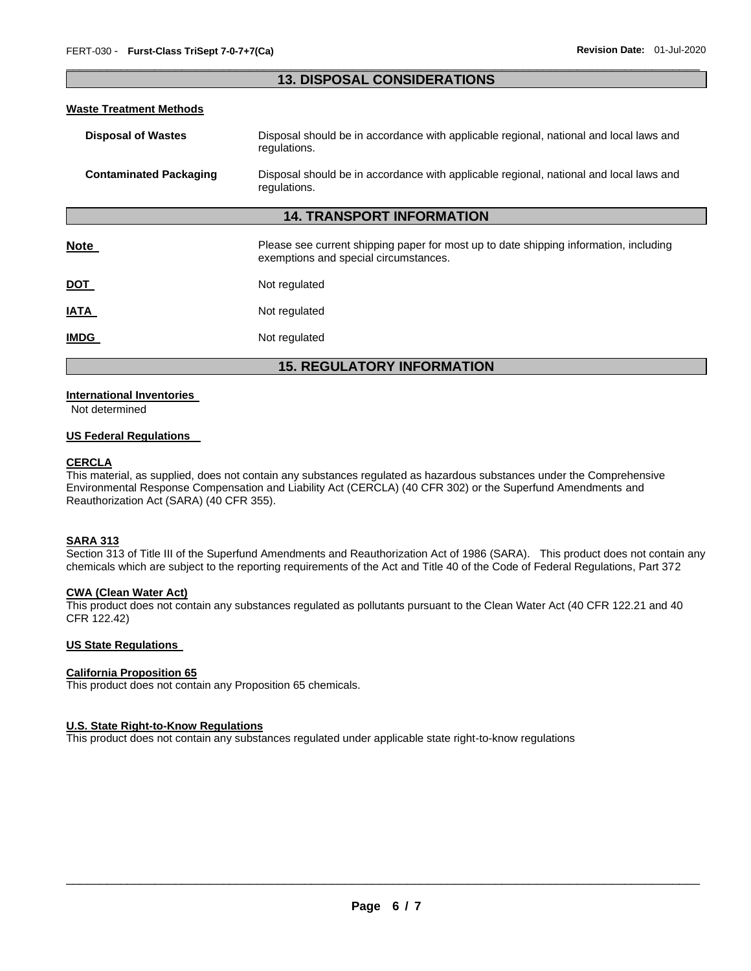### \_\_\_\_\_\_\_\_\_\_\_\_\_\_\_\_\_\_\_\_\_\_\_\_\_\_\_\_\_\_\_\_\_\_\_\_\_\_\_\_\_\_\_\_\_\_\_\_\_\_\_\_\_\_\_\_\_\_\_\_\_\_\_\_\_\_\_\_\_\_\_\_\_\_\_\_\_\_\_\_\_\_\_\_\_\_\_\_\_\_\_\_\_ **13. DISPOSAL CONSIDERATIONS**

### **Waste Treatment Methods**

| <b>Disposal of Wastes</b>        | Disposal should be in accordance with applicable regional, national and local laws and<br>regulations.                         |  |
|----------------------------------|--------------------------------------------------------------------------------------------------------------------------------|--|
| <b>Contaminated Packaging</b>    | Disposal should be in accordance with applicable regional, national and local laws and<br>regulations.                         |  |
| <b>14. TRANSPORT INFORMATION</b> |                                                                                                                                |  |
| Note                             | Please see current shipping paper for most up to date shipping information, including<br>exemptions and special circumstances. |  |
| <u>DOT</u>                       | Not regulated                                                                                                                  |  |
| <b>ATAI</b>                      | Not regulated                                                                                                                  |  |
| <b>IMDG</b>                      | Not regulated                                                                                                                  |  |

**15. REGULATORY INFORMATION** 

### **International Inventories**

Not determined

### **US Federal Regulations**

### **CERCLA**

This material, as supplied, does not contain any substances regulated as hazardous substances under the Comprehensive Environmental Response Compensation and Liability Act (CERCLA) (40 CFR 302) or the Superfund Amendments and Reauthorization Act (SARA) (40 CFR 355).

### **SARA 313**

Section 313 of Title III of the Superfund Amendments and Reauthorization Act of 1986 (SARA). This product does not contain any chemicals which are subject to the reporting requirements of the Act and Title 40 of the Code of Federal Regulations, Part 372

### **CWA (Clean Water Act)**

This product does not contain any substances regulated as pollutants pursuant to the Clean Water Act (40 CFR 122.21 and 40 CFR 122.42)

### **US State Regulations**

### **California Proposition 65**

This product does not contain any Proposition 65 chemicals.

### **U.S. State Right-to-Know Regulations**

This product does not contain any substances regulated under applicable state right-to-know regulations